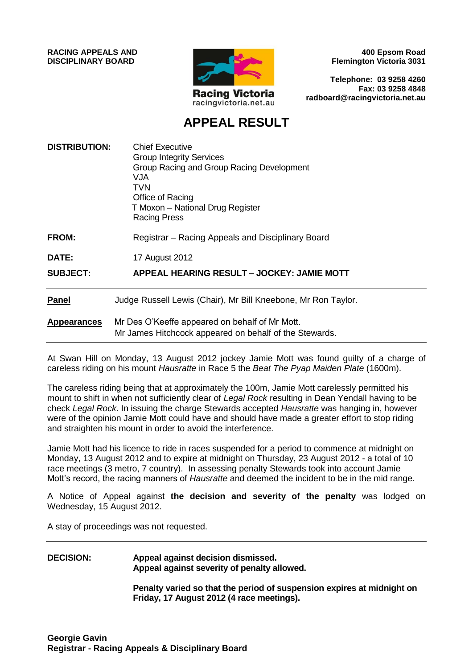**RACING APPEALS AND DISCIPLINARY BOARD**



**400 Epsom Road Flemington Victoria 3031**

**Telephone: 03 9258 4260 Fax: 03 9258 4848 radboard@racingvictoria.net.au**

# **APPEAL RESULT**

| <b>DISTRIBUTION:</b> | <b>Chief Executive</b><br><b>Group Integrity Services</b><br>Group Racing and Group Racing Development<br><b>VJA</b><br>TVN<br>Office of Racing<br>T Moxon - National Drug Register<br><b>Racing Press</b> |
|----------------------|------------------------------------------------------------------------------------------------------------------------------------------------------------------------------------------------------------|
| <b>FROM:</b>         | Registrar – Racing Appeals and Disciplinary Board                                                                                                                                                          |
| <b>DATE:</b>         | 17 August 2012                                                                                                                                                                                             |
| <b>SUBJECT:</b>      | APPEAL HEARING RESULT - JOCKEY: JAMIE MOTT                                                                                                                                                                 |
| <b>Panel</b>         | Judge Russell Lewis (Chair), Mr Bill Kneebone, Mr Ron Taylor.                                                                                                                                              |
| <b>Appearances</b>   | Mr Des O'Keeffe appeared on behalf of Mr Mott.<br>Mr James Hitchcock appeared on behalf of the Stewards.                                                                                                   |

At Swan Hill on Monday, 13 August 2012 jockey Jamie Mott was found guilty of a charge of careless riding on his mount *Hausratte* in Race 5 the *Beat The Pyap Maiden Plate* (1600m).

The careless riding being that at approximately the 100m, Jamie Mott carelessly permitted his mount to shift in when not sufficiently clear of *Legal Rock* resulting in Dean Yendall having to be check *Legal Rock*. In issuing the charge Stewards accepted *Hausratte* was hanging in, however were of the opinion Jamie Mott could have and should have made a greater effort to stop riding and straighten his mount in order to avoid the interference.

Jamie Mott had his licence to ride in races suspended for a period to commence at midnight on Monday, 13 August 2012 and to expire at midnight on Thursday, 23 August 2012 - a total of 10 race meetings (3 metro, 7 country). In assessing penalty Stewards took into account Jamie Mott's record, the racing manners of *Hausratte* and deemed the incident to be in the mid range.

A Notice of Appeal against **the decision and severity of the penalty** was lodged on Wednesday, 15 August 2012.

A stay of proceedings was not requested.

## **DECISION: Appeal against decision dismissed. Appeal against severity of penalty allowed.**

**Penalty varied so that the period of suspension expires at midnight on Friday, 17 August 2012 (4 race meetings).**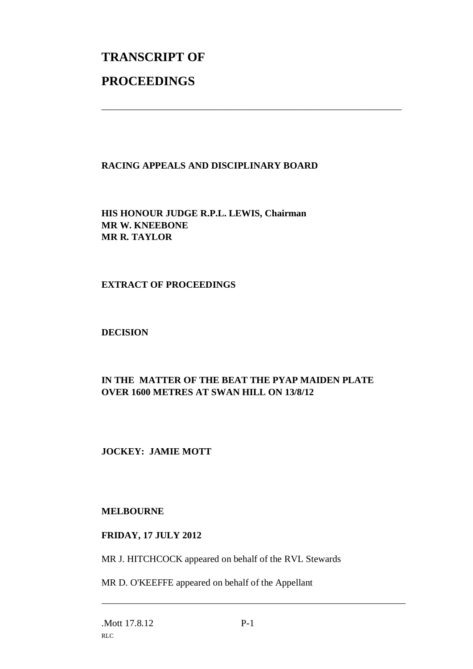# **TRANSCRIPT OF PROCEEDINGS**

## **RACING APPEALS AND DISCIPLINARY BOARD**

\_\_\_\_\_\_\_\_\_\_\_\_\_\_\_\_\_\_\_\_\_\_\_\_\_\_\_\_\_\_\_\_\_\_\_\_\_\_\_\_\_\_\_\_\_\_\_\_\_\_\_\_\_\_\_\_\_\_\_\_\_\_\_

**HIS HONOUR JUDGE R.P.L. LEWIS, Chairman MR W. KNEEBONE MR R. TAYLOR**

#### **EXTRACT OF PROCEEDINGS**

**DECISION**

# **IN THE MATTER OF THE BEAT THE PYAP MAIDEN PLATE OVER 1600 METRES AT SWAN HILL ON 13/8/12**

#### **JOCKEY: JAMIE MOTT**

#### **MELBOURNE**

#### **FRIDAY, 17 JULY 2012**

MR J. HITCHCOCK appeared on behalf of the RVL Stewards

MR D. O'KEEFFE appeared on behalf of the Appellant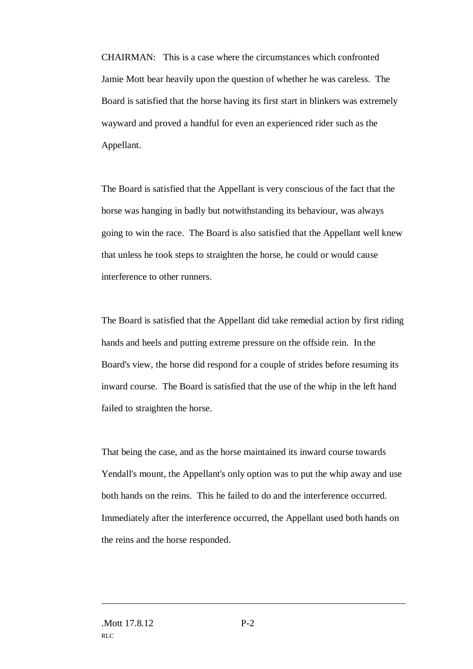CHAIRMAN: This is a case where the circumstances which confronted Jamie Mott bear heavily upon the question of whether he was careless. The Board is satisfied that the horse having its first start in blinkers was extremely wayward and proved a handful for even an experienced rider such as the Appellant.

The Board is satisfied that the Appellant is very conscious of the fact that the horse was hanging in badly but notwithstanding its behaviour, was always going to win the race. The Board is also satisfied that the Appellant well knew that unless he took steps to straighten the horse, he could or would cause interference to other runners.

The Board is satisfied that the Appellant did take remedial action by first riding hands and heels and putting extreme pressure on the offside rein. In the Board's view, the horse did respond for a couple of strides before resuming its inward course. The Board is satisfied that the use of the whip in the left hand failed to straighten the horse.

That being the case, and as the horse maintained its inward course towards Yendall's mount, the Appellant's only option was to put the whip away and use both hands on the reins. This he failed to do and the interference occurred. Immediately after the interference occurred, the Appellant used both hands on the reins and the horse responded.